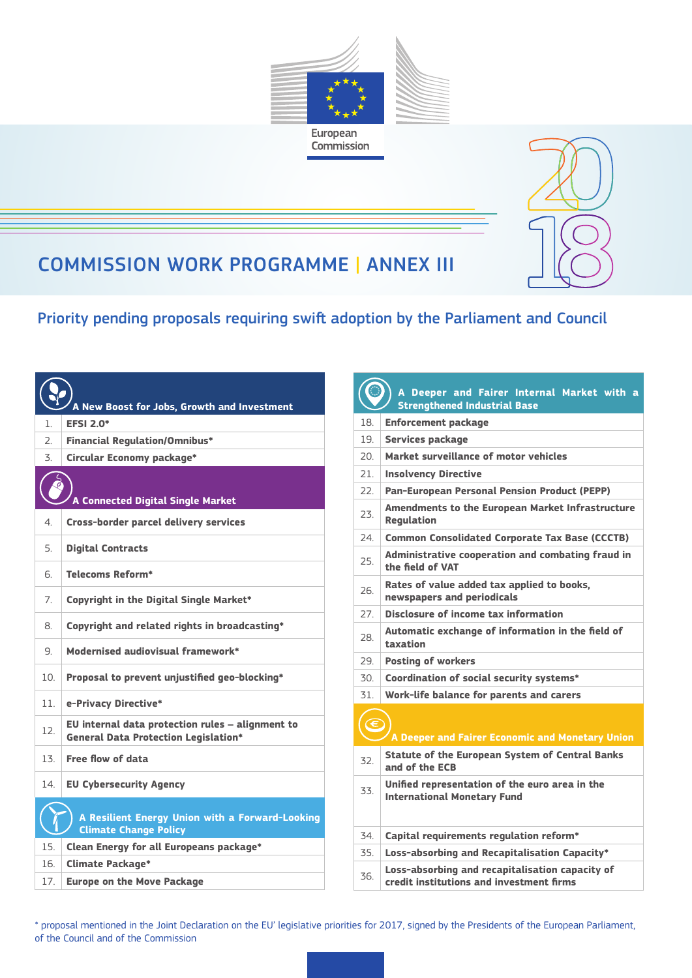



## COMMISSION WORK PROGRAMME | ANNEX III

Priority pending proposals requiring swift adoption by the Parliament and Council

| <u>A New Boost for Jobs, Growth and Investment</u> |                                                                                                 |  |
|----------------------------------------------------|-------------------------------------------------------------------------------------------------|--|
| 1.                                                 | <b>EFSI 2.0*</b>                                                                                |  |
| $\overline{2}$ .                                   | <b>Financial Regulation/Omnibus*</b>                                                            |  |
| 3.                                                 | Circular Economy package*                                                                       |  |
|                                                    | A Connected Digital Single Market                                                               |  |
| 4                                                  | <b>Cross-border parcel delivery services</b>                                                    |  |
| 5.                                                 | <b>Digital Contracts</b>                                                                        |  |
| 6.                                                 | <b>Telecoms Reform*</b>                                                                         |  |
| 7.                                                 | Copyright in the Digital Single Market*                                                         |  |
| 8.                                                 | Copyright and related rights in broadcasting*                                                   |  |
| 9.                                                 | Modernised audiovisual framework*                                                               |  |
| 10.                                                | Proposal to prevent unjustified geo-blocking*                                                   |  |
| 11                                                 | e-Privacy Directive*                                                                            |  |
| 12.                                                | EU internal data protection rules - alignment to<br><b>General Data Protection Legislation*</b> |  |
| 13.                                                | Free flow of data                                                                               |  |
| 14.                                                | <b>EU Cybersecurity Agency</b>                                                                  |  |
|                                                    | A Resilient Energy Union with a Forward-Looking<br><b>Climate Change Policy</b>                 |  |
| 15.                                                | Clean Energy for all Europeans package*                                                         |  |
| 16.                                                | <b>Climate Package*</b>                                                                         |  |
| 17.                                                | <b>Europe on the Move Package</b>                                                               |  |

| A Deeper and Fairer Internal Market with a<br><b>Strengthened Industrial Base</b> |                                                                                             |  |
|-----------------------------------------------------------------------------------|---------------------------------------------------------------------------------------------|--|
| 18                                                                                | Enforcement package                                                                         |  |
| 19                                                                                | <b>Services package</b>                                                                     |  |
| 20.                                                                               | Market surveillance of motor vehicles                                                       |  |
| 21.                                                                               | <b>Insolvency Directive</b>                                                                 |  |
| 22                                                                                | <b>Pan-European Personal Pension Product (PEPP)</b>                                         |  |
| 23.                                                                               | <b>Amendments to the European Market Infrastructure</b><br><b>Requlation</b>                |  |
| 24.                                                                               | <b>Common Consolidated Corporate Tax Base (CCCTB)</b>                                       |  |
| 25.                                                                               | Administrative cooperation and combating fraud in<br>the field of VAT                       |  |
| 26                                                                                | Rates of value added tax applied to books,<br>newspapers and periodicals                    |  |
| 27.                                                                               | Disclosure of income tax information                                                        |  |
| 28                                                                                | Automatic exchange of information in the field of<br>taxation                               |  |
| 29.                                                                               | <b>Posting of workers</b>                                                                   |  |
| 30.                                                                               | Coordination of social security systems*                                                    |  |
| 31.                                                                               | Work-life balance for parents and carers                                                    |  |
| A Deeper and Fairer Economic and Monetary Union                                   |                                                                                             |  |
| 32.                                                                               | <b>Statute of the European System of Central Banks</b><br>and of the ECB                    |  |
| 33.                                                                               | Unified representation of the euro area in the<br><b>International Monetary Fund</b>        |  |
| 34.                                                                               | Capital requirements regulation reform*                                                     |  |
| 35.                                                                               | Loss-absorbing and Recapitalisation Capacity*                                               |  |
| 36.                                                                               | Loss-absorbing and recapitalisation capacity of<br>credit institutions and investment firms |  |

\* proposal mentioned in the Joint Declaration on the EU' legislative priorities for 2017, signed by the Presidents of the European Parliament, of the Council and of the Commission